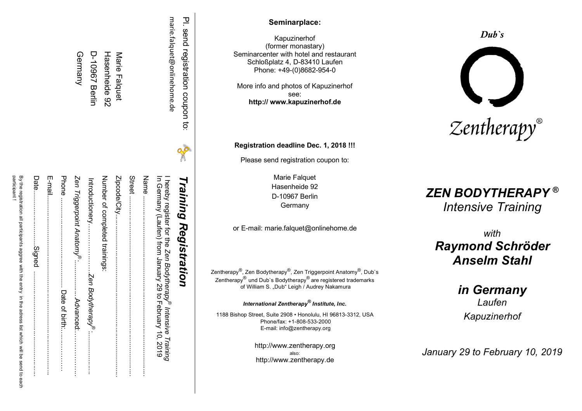| PI. send registration coupon to: | X | Training Registration                                                                                                                 |
|----------------------------------|---|---------------------------------------------------------------------------------------------------------------------------------------|
| marie.falquet@onlinehome.de      |   | I hereby register for the Zen Bodytherapy <sup>®</sup> Intensive Training<br>In Germany (Laufen) from January 29 to February 10, 2019 |
|                                  |   |                                                                                                                                       |
|                                  |   |                                                                                                                                       |
| Marie Falquet                    |   |                                                                                                                                       |
| Hasenheide 92                    |   | Number of completed trainings:                                                                                                        |
| D-10967 Berlin                   |   | $\overline{\textbf{C}}$                                                                                                               |
| Germany                          |   |                                                                                                                                       |
|                                  |   |                                                                                                                                       |
|                                  |   |                                                                                                                                       |
|                                  |   | :::::::::::::::::::::::::::::                                                                                                         |
|                                  |   | By the registration all participants aggree with the entry in the adre<br>ist which will be send to each                              |

participant

# **Seminarplace :**

Kapuzinerhof (former monastary ) Seminarcenter with hotel and restaurant Schloßplatz 4 , D -83410 Laufen Phon e: +49 -(0)8682 -954 - 0

More info and photos of Kapuzinerhof see : **http:// www.kapuzinerhof.de**

**Registration deadline Dec. 1, 2018 !!!**

Pleas e send registration coupon to:

Marie Falquet Hasenheide 92 D-10967 Berlin **Germany** 

or E -mail: marie.falquet@onlinehome.de

Zentherapy<sup>®</sup>, Zen Bodytherapy<sup>®</sup>, Zen Triggerpoint Anatomy<sup>®</sup>, Dub`s Zentherapy $^\circledR$  und Dub`s Bodytherapy $^\circledR$  are registered trademarks of William S. "Dub" Leigh / Audrey Nakamura

*International Zentherapy® Institute, Inc.*

1188 Bishop Street , Suite 2908 • Honolulu, HI 96813 -3312 , USA Phone/fax: +1-808-533-2000 E -mail: info@zentherapy.org

> http://www.zentherapy.org also : http://www.zentherapy.de

# *Dub`s*



# *ZEN BODYTHERAPY* **®** *Intensive Training*

*with Raymond Schröder Anselm Stahl*

> *in Germany Laufen Kapuzinerhof*

*January 29 to February 10 , 201 9*